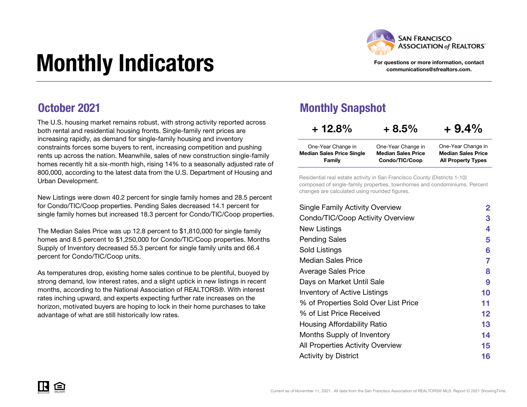

#### For questions or more information, contact communications@sfrealtors.com.

# Monthly Indicators

### October 2021

The U.S. housing market remains robust, with strong activity reported across both rental and residential housing fronts. Single-family rent prices are increasing rapidly, as demand for single-family housing and inventory constraints forces some buyers to rent, increasing competition and pushing rents up across the nation. Meanwhile, sales of new construction single-family homes recently hit a six-month high, rising 14% to a seasonally adjusted rate of 800,000, according to the latest data from the U.S. Department of Housing and Urban Development.

New Listings were down 40.2 percent for single family homes and 28.5 percent for Condo/TIC/Coop properties. Pending Sales decreased 14.1 percent for single family homes but increased 18.3 percent for Condo/TIC/Coop properties.

The Median Sales Price was up 12.8 percent to \$1,810,000 for single family homes and 8.5 percent to \$1,250,000 for Condo/TIC/Coop properties. Months Supply of Inventory decreased 55.3 percent for single family units and 66.4 percent for Condo/TIC/Coop units.

As temperatures drop, existing home sales continue to be plentiful, buoyed by strong demand, low interest rates, and a slight uptick in new listings in recent months, according to the National Association of REALTORS®. With interest rates inching upward, and experts expecting further rate increases on the horizon, motivated buyers are hoping to lock in their home purchases to take advantage of what are still historically low rates.

### Monthly Snapshot

| $+12.8%$                         | $+8.5%$                   | $+9.4%$                   |
|----------------------------------|---------------------------|---------------------------|
| One-Year Change in               | One-Year Change in        | One-Year Change in        |
| <b>Median Sales Price Single</b> | <b>Median Sales Price</b> | <b>Median Sales Price</b> |
| Family                           | Condo/TIC/Coop            | <b>All Property Types</b> |

Residential real estate activity in San Francisco County (Districts 1-10) composed of single-family properties, townhomes and condominiums. Percent changes are calculated using rounded figures.

| <b>Single Family Activity Overview</b> | 2       |
|----------------------------------------|---------|
| Condo/TIC/Coop Activity Overview       | 3       |
| New Listings                           | 4       |
| <b>Pending Sales</b>                   | 5       |
| Sold Listings                          | 6       |
| Median Sales Price                     | 7       |
| <b>Average Sales Price</b>             | 8       |
| Days on Market Until Sale              | 9       |
| Inventory of Active Listings           | 10      |
| % of Properties Sold Over List Price   | 11      |
| % of List Price Received               | $12 \,$ |
| Housing Affordability Ratio            | 13      |
| Months Supply of Inventory             | 14      |
| All Properties Activity Overview       | 15      |
| <b>Activity by District</b>            | 16      |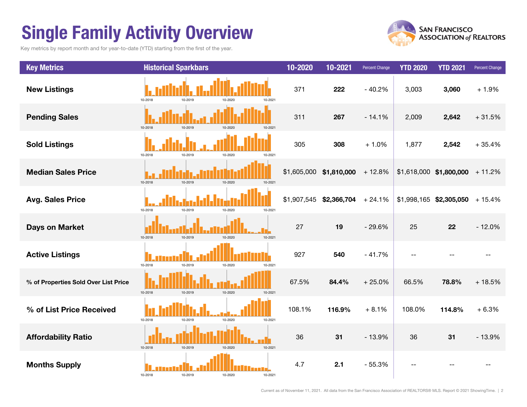# Single Family Activity Overview

Key metrics by report month and for year-to-date (YTD) starting from the first of the year.





Current as of November 11, 2021. All data from the San Francisco Association of REALTORS® MLS. Report © 2021 ShowingTime. | 2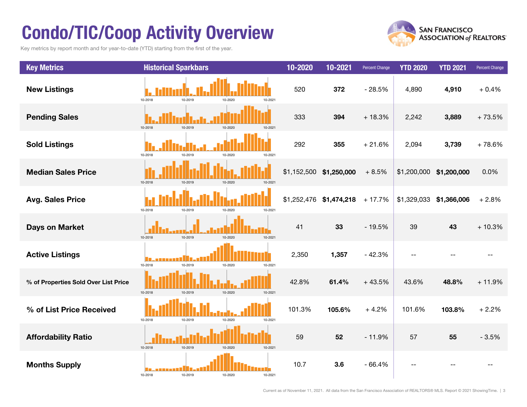# Condo/TIC/Coop Activity Overview

Key metrics by report month and for year-to-date (YTD) starting from the first of the year.



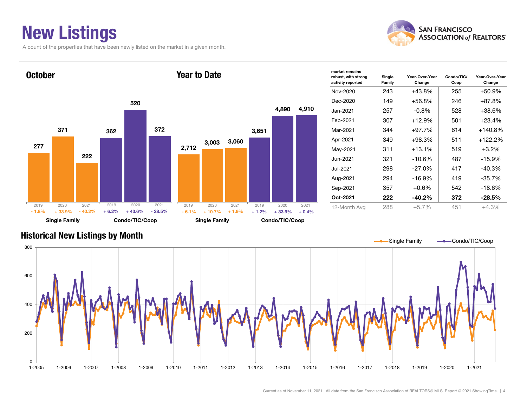# New Listings

A count of the properties that have been newly listed on the market in a given month.





| market remains<br>robust, with strong<br>activity reported | Single<br>Family | Year-Over-Year<br>Change | Condo/TIC/<br>Coop | Year-Over-Year<br>Change |
|------------------------------------------------------------|------------------|--------------------------|--------------------|--------------------------|
| Nov-2020                                                   | 243              | +43.8%                   | 255                | $+50.9%$                 |
| Dec-2020                                                   | 149              | $+56.8%$                 | 246                | $+87.8%$                 |
| Jan-2021.                                                  | 257              | $-0.8\%$                 | 528                | +38.6%                   |
| Feb-2021                                                   | 307              | $+12.9%$                 | 501                | $+23.4%$                 |
| Mar-2021                                                   | 344              | $+97.7%$                 | 614                | $+140.8%$                |
| Apr-2021                                                   | 349              | $+98.3%$                 | 511                | +122.2%                  |
| May-2021                                                   | 311              | $+13.1%$                 | 519                | $+3.2%$                  |
| Jun-2021.                                                  | 321              | -10.6%                   | 487                | $-15.9%$                 |
| Jul-2021                                                   | 298              | $-27.0%$                 | 417                | $-40.3%$                 |
| Aug-2021                                                   | 294              | -16.9%                   | 419                | $-35.7%$                 |
| Sep-2021                                                   | 357              | $+0.6%$                  | 542                | $-18.6%$                 |
| Oct-2021                                                   | 222              | $-40.2%$                 | 372                | $-28.5%$                 |
| 12-Month Avg                                               | 288              | $+5.7%$                  | 451                | $+4.3%$                  |

### Historical New Listings by Month

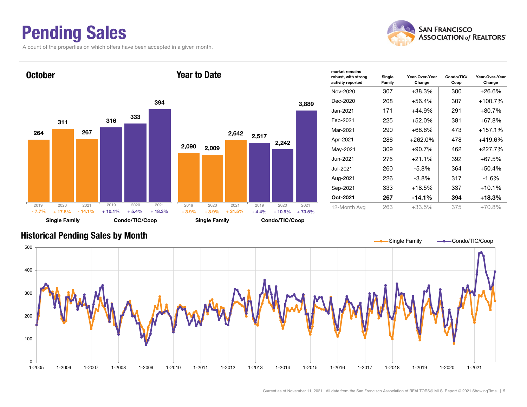### Pending Sales

A count of the properties on which offers have been accepted in a given month.



Year-Over-Year Change



#### Historical Pending Sales by Month

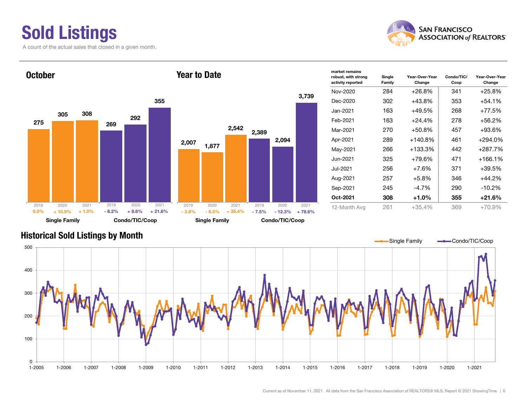# Sold Listings

A count of the actual sales that closed in a given month.





| market remains<br>robust, with strong<br>activity reported | Single<br>Family | Year-Over-Year<br>Change | Condo/TIC/<br>Coop | Year-Over-Year<br>Change |
|------------------------------------------------------------|------------------|--------------------------|--------------------|--------------------------|
| Nov-2020                                                   | 284              | $+26.8%$                 | 341                | $+25.8\%$                |
| Dec-2020                                                   | 302              | $+43.8%$                 | 353                | +54.1%                   |
| Jan-2021.                                                  | 163              | $+49.5%$                 | 268                | $+77.5%$                 |
| Feb-2021                                                   | 163              | $+24.4%$                 | 278                | +56.2%                   |
| Mar-2021                                                   | 270              | $+50.8\%$                | 457                | +93.6%                   |
| Apr-2021                                                   | 289              | $+140.8%$                | 461                | +294.0%                  |
| May-2021                                                   | 266              | $+133.3\%$               | 442                | +287.7%                  |
| Jun-2021                                                   | 325              | $+79.6%$                 | 471                | +166.1%                  |
| Jul-2021                                                   | 256              | $+7.6%$                  | 371                | +39.5%                   |
| Aug-2021                                                   | 257              | $+5.8%$                  | 346                | +44.2%                   |
| Sep-2021                                                   | 245              | -4.7%                    | 290                | $-10.2%$                 |
| Oct-2021                                                   | 308              | +1.0%                    | 355                | +21.6%                   |
| 12-Month Avg                                               | 261              | $+35.4%$                 | 369                | $+70.9%$                 |

### Historical Sold Listings by Month



3,739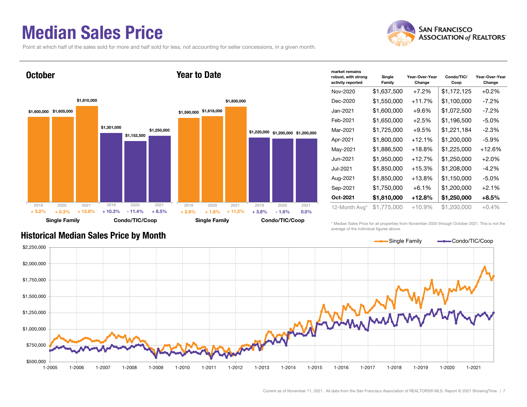### Median Sales Price

Point at which half of the sales sold for more and half sold for less, not accounting for seller concessions, in a given month.



| market remains<br>robust, with strong<br>activity reported | Single<br>Family | Year-Over-Year<br>Change | Condo/TIC/<br>Coop | Year-Over-Year<br>Change |
|------------------------------------------------------------|------------------|--------------------------|--------------------|--------------------------|
| Nov-2020                                                   | \$1,637,500      | $+7.2%$                  | \$1,172,125        | $+0.2%$                  |
| Dec-2020                                                   | \$1,550,000      | +11.7%                   | \$1,100,000        | -7.2%                    |
| Jan-2021                                                   | \$1,600,000      | +9.6%                    | \$1,072,500        | $-7.2\%$                 |
| Feb-2021                                                   | \$1,650,000      | $+2.5%$                  | \$1,196,500        | $-5.0\%$                 |
| Mar-2021                                                   | \$1,725,000      | $+9.5%$                  | \$1,221,184        | $-2.3%$                  |
| Apr-2021                                                   | \$1,800,000      | $+12.1%$                 | \$1,200,000        | $-5.9\%$                 |
| May-2021                                                   | \$1,886,500      | $+18.8\%$                | \$1,225,000        | $+12.6%$                 |
| Jun-2021                                                   | \$1,950,000      | $+12.7%$                 | \$1,250,000        | $+2.0%$                  |
| Jul-2021                                                   | \$1,850,000      | +15.3%                   | \$1,208,000        | $-4.2\%$                 |
| Aug-2021                                                   | \$1,850,000      | $+13.8\%$                | \$1,150,000        | $-5.0\%$                 |
| Sep-2021                                                   | \$1,750,000      | $+6.1\%$                 | \$1,200,000        | $+2.1%$                  |
| Oct-2021                                                   | \$1,810,000      | +12.8%                   | \$1,250,000        | $+8.5%$                  |
| 12-Month Avg*                                              | \$1,775,000      | $+10.9%$                 | \$1,200,000        | $+0.4\%$                 |

\* Median Sales Price for all properties from November 2020 through October 2021. This is not the average of the individual figures above.



### Historical Median Sales Price by Month

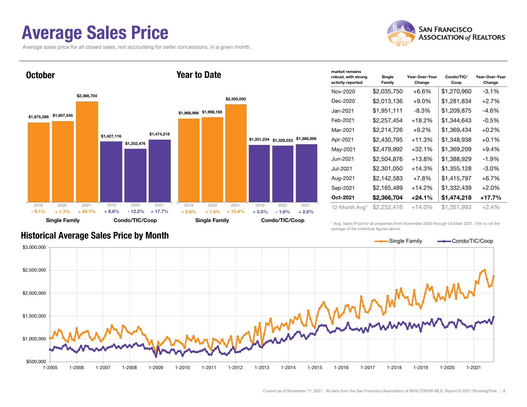### Average Sales Price

Average sales price for all closed sales, not accounting for seller concessions, in a given month.





| market remains<br>robust, with strong<br>activity reported | Single<br>Family | Year-Over-Year<br>Change | Condo/TIC/<br>Coop | Year-Over-Year<br>Change |
|------------------------------------------------------------|------------------|--------------------------|--------------------|--------------------------|
| Nov-2020                                                   | \$2,035,750      | $+6.6\%$                 | \$1,270,960        | $-3.1%$                  |
| Dec-2020                                                   | \$2,013,136      | $+9.0\%$                 | \$1,281,834        | $+2.7%$                  |
| Jan-2021                                                   | \$1,951,111      | $-8.3\%$                 | \$1,209,875        | $-4.6%$                  |
| Feb-2021                                                   | \$2,257,454      | $+18.2%$                 | \$1,344,643        | $-0.5%$                  |
| Mar-2021                                                   | \$2,214,726      | $+9.2\%$                 | \$1,369,434        | $+0.2%$                  |
| Apr-2021                                                   | \$2,430,795      | +11.3%                   | \$1,348,938        | $+0.1%$                  |
| May-2021                                                   | \$2,479,992      | $+32.1%$                 | \$1,369,209        | $+9.4%$                  |
| Jun-2021                                                   | \$2,504,876      | +13.8%                   | \$1,388,929        | $-1.9%$                  |
| Jul-2021                                                   | \$2,301,050      | $+14.3%$                 | \$1,355,128        | $-3.0\%$                 |
| Aug-2021                                                   | \$2,142,583      | $+7.8%$                  | \$1,415,797        | $+6.7%$                  |
| Sep-2021                                                   | \$2,165,489      | $+14.2%$                 | \$1,332,439        | $+2.0%$                  |
| Oct-2021                                                   | \$2,366,704      | $+24.1%$                 | \$1,474,218        | $+17.7%$                 |
| 12-Month Avg*                                              | \$2,252,416      | $+14.0\%$                | \$1,351,993        | $+2.4%$                  |

\* Avg. Sales Price for all properties from November 2020 through October 2021. This is not the average of the individual figures above.



#### Historical Average Sales Price by Month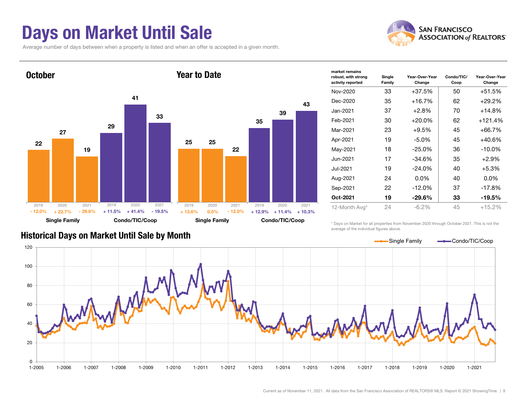### Days on Market Until Sale

Average number of days between when a property is listed and when an offer is accepted in a given month.





| market remains                           |                  |                          |                    |                          |
|------------------------------------------|------------------|--------------------------|--------------------|--------------------------|
| robust, with strong<br>activity reported | Single<br>Family | Year-Over-Year<br>Change | Condo/TIC/<br>Coop | Year-Over-Year<br>Change |
| Nov-2020                                 | 33               | $+37.5%$                 | 50                 | $+51.5%$                 |
| Dec-2020                                 | 35               | $+16.7%$                 | 62                 | $+29.2%$                 |
| Jan-2021                                 | 37               | $+2.8%$                  | 70                 | $+14.8%$                 |
| Feb-2021                                 | 30               | $+20.0\%$                | 62                 | $+121.4%$                |
| Mar-2021                                 | 23               | $+9.5%$                  | 45                 | $+66.7%$                 |
| Apr-2021                                 | 19               | $-5.0\%$                 | 45                 | $+40.6%$                 |
| May-2021                                 | 18               | $-25.0%$                 | 36                 | $-10.0%$                 |
| Jun-2021                                 | 17               | $-34.6%$                 | 35                 | $+2.9%$                  |
| Jul-2021                                 | 19               | $-24.0\%$                | 40                 | $+5.3%$                  |
| Aug-2021                                 | 24               | $0.0\%$                  | 40                 | $0.0\%$                  |
| Sep-2021                                 | 22               | $-12.0%$                 | 37                 | $-17.8%$                 |
| Oct-2021                                 | 19               | $-29.6\%$                | 33                 | $-19.5%$                 |
| 12-Month Avg*                            | 24               | $-6.2%$                  | 45                 | $+15.2%$                 |
|                                          |                  |                          |                    |                          |

Historical Days on Market Until Sale by Month

\* Days on Market for all properties from November 2020 through October 2021. This is not the average of the individual figures above.

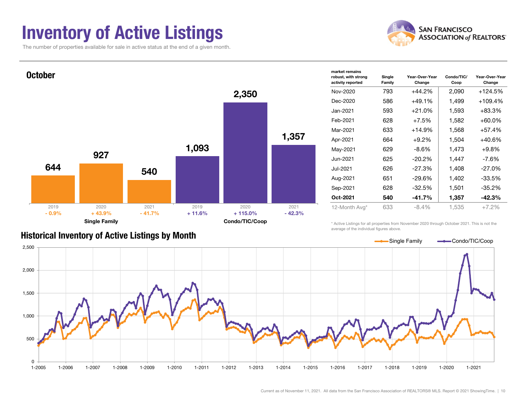### Inventory of Active Listings

The number of properties available for sale in active status at the end of a given month.





| market remains                           |                  |                          |                    |                          |
|------------------------------------------|------------------|--------------------------|--------------------|--------------------------|
| robust, with strong<br>activity reported | Single<br>Family | Year-Over-Year<br>Change | Condo/TIC/<br>Coop | Year-Over-Year<br>Change |
| Nov-2020                                 | 793              | $+44.2%$                 | 2,090              | $+124.5%$                |
| Dec-2020                                 | 586              | $+49.1%$                 | 1,499              | $+109.4%$                |
| Jan-2021                                 | 593              | $+21.0%$                 | 1,593              | +83.3%                   |
| Feb-2021                                 | 628              | $+7.5%$                  | 1,582              | +60.0%                   |
| Mar-2021                                 | 633              | $+14.9%$                 | 1,568              | +57.4%                   |
| Apr-2021                                 | 664              | $+9.2\%$                 | 1,504              | +40.6%                   |
| May-2021                                 | 629              | $-8.6\%$                 | 1,473              | $+9.8%$                  |
| Jun-2021.                                | 625              | -20.2%                   | 1,447              | -7.6%                    |
| Jul-2021                                 | 626              | -27.3%                   | 1,408              | $-27.0%$                 |
| Aug-2021                                 | 651              | -29.6%                   | 1,402              | -33.5%                   |
| Sep-2021                                 | 628              | -32.5%                   | 1,501              | $-35.2%$                 |
| Oct-2021                                 | 540              | -41.7%                   | 1,357              | $-42.3%$                 |
| 12-Month Avg*                            | 633              | $-8.4%$                  | 1,535              | $+7.2%$                  |
|                                          |                  |                          |                    |                          |

#### Historical Inventory of Active Listings by Month

\* Active Listings for all properties from November 2020 through October 2021. This is not the average of the individual figures above.

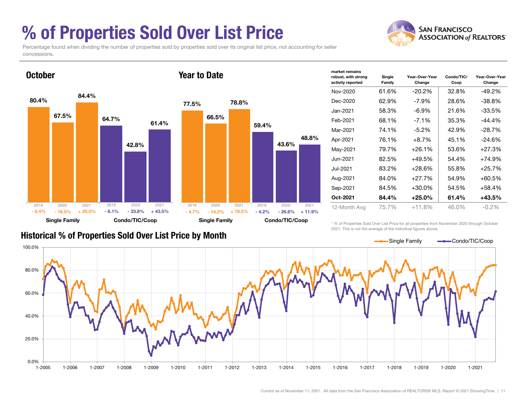# % of Properties Sold Over List Price

Percentage found when dividing the number of properties sold by properties sold over its original list price, not accounting for seller concessions.



| market remains<br>robust, with strong<br>activity reported | Single<br>Family | Year-Over-Year<br>Change | Condo/TIC/<br>Coop | Year-Over-Year<br>Change |
|------------------------------------------------------------|------------------|--------------------------|--------------------|--------------------------|
| Nov-2020                                                   | 61.6%            | $-20.2\%$                | 32.8%              | $-49.2%$                 |
| Dec-2020                                                   | 62.9%            | -7.9%                    | 28.6%              | $-38.8\%$                |
| Jan-2021                                                   | 58.3%            | $-6.9\%$                 | 21.6%              | $-33.5%$                 |
| Feb-2021                                                   | 68.1%            | $-7.1\%$                 | 35.3%              | $-44.4%$                 |
| Mar-2021                                                   | 74.1%            | $-5.2\%$                 | 42.9%              | $-28.7%$                 |
| Apr-2021                                                   | 76.1%            | $+8.7\%$                 | 45.1%              | $-24.6\%$                |
| May-2021                                                   | 79.7%            | $+26.1%$                 | 53.6%              | $+27.3%$                 |
| Jun-2021                                                   | 82.5%            | $+49.5%$                 | 54.4%              | $+74.9%$                 |
| Jul-2021                                                   | 83.2%            | +28.6%                   | 55.8%              | $+25.7%$                 |
| Aug-2021                                                   | 84.0%            | +27.7%                   | 54.9%              | $+60.5%$                 |
| Sep-2021                                                   | 84.5%            | $+30.0\%$                | 54.5%              | $+58.4%$                 |
| Oct-2021                                                   | 84.4%            | $+25.0\%$                | 61.4%              | $+43.5%$                 |
| 12-Month Avg                                               | 75.7%            | $+11.8%$                 | 46.0%              | $-0.2\%$                 |

### Historical % of Properties Sold Over List Price by Month

\* % of Properties Sold Over List Price for all properties from November 2020 through October 2021. This is not the average of the individual figures above.



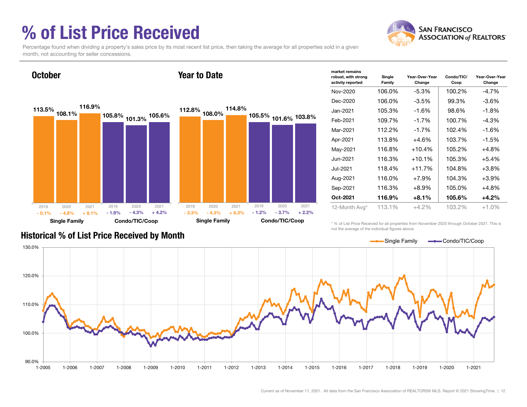# % of List Price Received



Percentage found when dividing a property's sales price by its most recent list price, then taking the average for all properties sold in a given month, not accounting for seller concessions.



| market remains<br>robust, with strong<br>activity reported | Single<br>Family | Year-Over-Year<br>Change | Condo/TIC/<br>Coop | Year-Over-Year<br>Change |
|------------------------------------------------------------|------------------|--------------------------|--------------------|--------------------------|
| Nov-2020                                                   | 106.0%           | $-5.3%$                  | 100.2%             | -4.7%                    |
| Dec-2020                                                   | 106.0%           | $-3.5%$                  | 99.3%              | -3.6%                    |
| Jan-2021                                                   | 105.3%           | $-1.6%$                  | 98.6%              | $-1.8%$                  |
| Feb-2021                                                   | 109.7%           | $-1.7%$                  | 100.7%             | $-4.3%$                  |
| Mar-2021                                                   | 112.2%           | $-1.7%$                  | 102.4%             | $-1.6%$                  |
| Apr-2021                                                   | 113.8%           | $+4.6%$                  | 103.7%             | $-1.5%$                  |
| May-2021                                                   | 116.8%           | $+10.4%$                 | 105.2%             | $+4.8%$                  |
| Jun-2021                                                   | 116.3%           | $+10.1%$                 | 105.3%             | $+5.4%$                  |
| Jul-2021                                                   | 118.4%           | $+11.7%$                 | 104.8%             | $+3.8%$                  |
| Aug-2021                                                   | 116.0%           | $+7.9%$                  | 104.3%             | $+3.9%$                  |
| Sep-2021                                                   | 116.3%           | +8.9%                    | 105.0%             | $+4.8%$                  |
| Oct-2021                                                   | 116.9%           | $+8.1%$                  | 105.6%             | $+4.2%$                  |
| 12-Month Avg*                                              | 113.1%           | $+4.2\%$                 | 103.2%             | $+1.0\%$                 |

Historical % of List Price Received by Month

\* % of List Price Received for all properties from November 2020 through October 2021. This is not the average of the individual figures above.

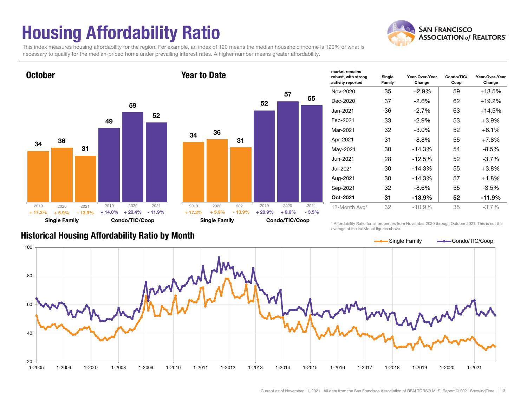# Housing Affordability Ratio



This index measures housing affordability for the region. For example, an index of 120 means the median household income is 120% of what is necessary to qualify for the median-priced home under prevailing interest rates. A higher number means greater affordability.



| $+17.2%$ | $+5.9%$<br><b>Single Family</b> | $-13.9%$ | $+20.9%$ | $+9.6%$<br>Condo/TIC/Coop | $-3.5%$ |
|----------|---------------------------------|----------|----------|---------------------------|---------|
| 2019     | 2020                            | 2021     | 2019     | 2020                      | 2021    |
|          |                                 |          |          |                           |         |
|          |                                 |          |          |                           |         |
|          |                                 |          |          |                           |         |
|          |                                 |          |          |                           |         |
| 34       | 36                              | 31       |          |                           |         |
|          |                                 |          |          |                           |         |
|          |                                 |          | 52       |                           |         |
|          |                                 |          |          | 57                        | 55      |
|          |                                 |          |          |                           |         |

| market remains<br>robust, with strong<br>activity reported | Single<br>Family | Year-Over-Year<br>Change | Condo/TIC/<br>Coop | Year-Over-Year<br>Change |
|------------------------------------------------------------|------------------|--------------------------|--------------------|--------------------------|
| Nov-2020                                                   | 35               | $+2.9%$                  | 59                 | $+13.5%$                 |
| Dec-2020                                                   | 37               | $-2.6%$                  | 62                 | $+19.2%$                 |
| Jan-2021.                                                  | 36               | $-2.7%$                  | 63                 | $+14.5%$                 |
| Feb-2021                                                   | 33               | $-2.9%$                  | 53                 | $+3.9%$                  |
| Mar-2021                                                   | 32               | $-3.0\%$                 | 52                 | $+6.1%$                  |
| Apr-2021                                                   | 31               | $-8.8\%$                 | 55                 | $+7.8%$                  |
| May-2021                                                   | 30               | $-14.3%$                 | 54                 | $-8.5\%$                 |
| Jun-2021                                                   | 28               | $-12.5%$                 | 52                 | $-3.7%$                  |
| Jul-2021                                                   | 30               | $-14.3%$                 | 55                 | $+3.8%$                  |
| Aug-2021                                                   | 30               | $-14.3%$                 | 57                 | $+1.8%$                  |
| Sep-2021                                                   | 32               | $-8.6\%$                 | 55                 | $-3.5%$                  |
| Oct-2021                                                   | 31               | $-13.9%$                 | 52                 | -11.9%                   |
| 12-Month Avg*                                              | 32               | -10.9%                   | 35                 | $-3.7\%$                 |

Historical Housing Affordability Ratio by Month

\* Affordability Ratio for all properties from November 2020 through October 2021. This is not the average of the individual figures above.

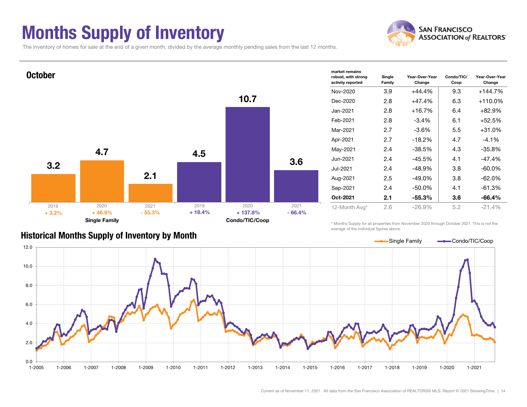# Months Supply of Inventory



The inventory of homes for sale at the end of a given month, divided by the average monthly pending sales from the last 12 months.



#### Historical Months Supply of Inventory by Month

\* Months Supply for all properties from November 2020 through October 2021. This is not the average of the individual figures above.

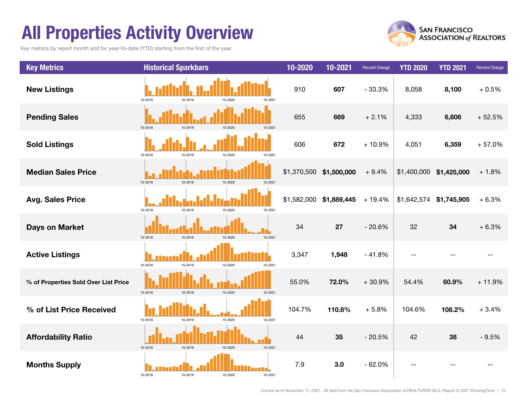# All Properties Activity Overview

Key metrics by report month and for year-to-date (YTD) starting from the first of the year.